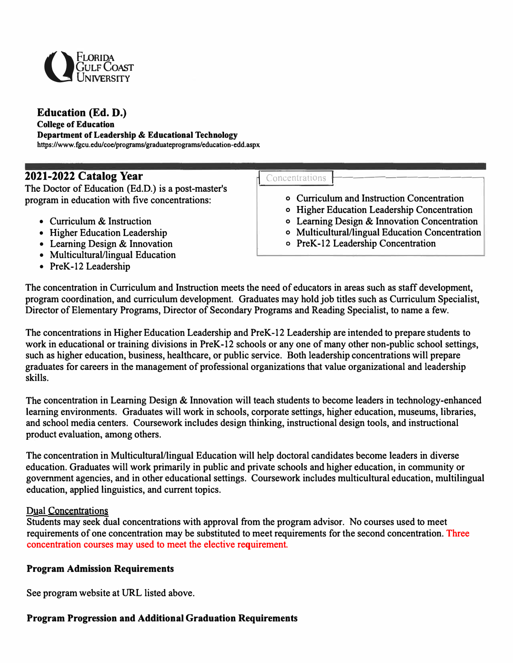

## **Education (Ed. D.)**

#### **College of Education**

**Department of Leadership & Educational Technology** 

**https://www.fgcu.edu/coe/programs/graduateprograms/education-edd.aspx** 

**2021-2022 Catalog Year <br>The Doctor of Education (Ed.D.) is a post-master's The Doctor of Education (Ed.D.) is a post-master's program in education with five concentrations:** 

- **• Curriculum & Instruction**
- **• Higher Education Leadership**
- **• Leaming Design & Innovation**
- **• Multicultural/lingual Education**
- **• PreK-12 Leadership**

- **o Curriculum and Instruction Concentration**
- **o Higher Education Leadership Concentration**
- **o Leaming Design & Innovation Concentration**
- **o Multicultural/lingual Education Concentration**
- **<sup>o</sup>PreK-12 Leadership Concentration**

**The concentration in Curriculum and Instruction meets the need of educators in areas such as staff development, program coordination, and curriculum development. Graduates may hold job titles such as Curriculum Specialist, Director of Elementary Programs, Director of Secondary Programs and Reading Specialist, to name a few.** 

**The concentrations in Higher Education Leadership and PreK-12 Leadership are intended to prepare students to**  work in educational or training divisions in PreK-12 schools or any one of many other non-public school settings, **such as higher education, business, healthcare, or public service. Both leadership concentrations will prepare graduates for careers in the management of professional organizations that value organizational and leadership skills.** 

**The concentration in Leaming Design & Innovation will teach students to become leaders in technology-enhanced learning environments. Graduates will work in schools, corporate settings, higher education, museums, libraries, and school media centers. Coursework includes design thinking, instructional design tools, and instructional product evaluation, among others.** 

**The concentration in Multicultural/lingual Education will help doctoral candidates become leaders in diverse education. Graduates will work primarily in public and private schools and higher education, in community or government agencies, and in other educational settings. Coursework includes multicultural education, multilingual education, applied linguistics, and current topics.** 

#### **Dual Concentrations**

**Students may seek dual concentrations with approval from the program advisor. No courses used to meet requirements of one concentration may be substituted to meet requirements for the second concentration. Three concentration courses may used to meet the elective requirement.**

### **Program Admission Requirements**

See program website at URL listed above.

# **Program Progression and Additional Graduation Requirements**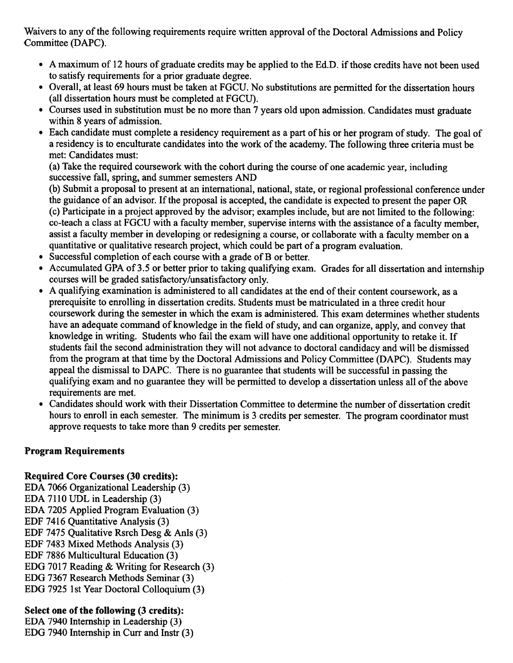Waivers to any of the following requirements require written approval of the Doctoral Admissions and Policy Committee (DAPC).

- A maximum of 12 hours of graduate credits may be applied to the Ed.D. if those credits have not been used to satisfy requirements for a prior graduate degree.
- Overall, at least 69 hours must be taken at FGCU. No substitutions are permitted for the dissertation hours (all dissertation hours must be completed at FGCU).
- Courses used in substitution must be no more than 7 years old upon admission. Candidates must graduate within 8 years of admission.
- Each candidate must complete a residency requirement as a part of his or her program of study. The goal of a residency is to enculturate candidates into the work of the academy. The following three criteria must be met: Candidates must:

(a) Take the required coursework with the cohort during the course of one academic year, including successive fall, spring, and summer semesters AND

(b) Submit a proposal to present at an international, national, state, or regional professional conference under the guidance of an advisor. If the proposal is accepted, the candidate is expected to present the paper OR (c) Participate in a project approved by the advisor; examples include, but are not limited to the following: co-teach a class at FGCU with a faculty member, supervise interns with the assistance of a faculty member. assist a faculty member in developing or redesigning a course, or collaborate with a faculty member on a quantitative or qualitative research project, which could be part of a program evaluation.

- Successful completion of each course with a grade of B or better.
- Accumulated GPA of 3.5 or better prior to taking qualifying exam. Grades for all dissertation and internship courses will be graded satisfactory/unsatisfactory only.
- A qualifying examination is administered to all candidates at the end of their content coursework, as a prerequisite to enrolling in dissertation credits. Students must be matriculated in a three credit hour coursework during the semester in which the exam is administered. This exam determines whether students have an adequate command of knowledge in the field of study, and can organize, apply, and convey that knowledge in writing. Students who fail the exam will have one additional opportunity to retake it. If students fail the second administration they will not advance to doctoral candidacy and will be dismissed from the program at that time by the Doctoral Admissions and Policy Committee (DAPC). Students may appeal the dismissal to DAPC. There is no guarantee that students will be successful in passing the qualifying exam and no guarantee they will be permitted to develop a dissertation unless all of the above requirements are met.
- Candidates should work with their Dissertation Committee to determine the number of dissertation credit hours to enroll in each semester. The minimum is 3 credits per semester. The program coordinator must approve requests to take more than 9 credits per semester.

### **Program Requirements**

### **Required Core Courses (30 credits):**

EDA 7066 Organizational Leadership (3) EDA 7110 UDL in Leadership (3) EDA 7205 Applied Program Evaluation (3) EDF 7416 Quantitative Analysis (3) EDF 7475 Qualitative Rsrch Desg & Anls (3) EDF 7483 Mixed Methods Analysis (3) EDF 7886 Multicultural Education (3) EDG 7017 Reading & Writing for Research (3) EDG 7367 Research Methods Seminar (3) EDG 7925 1st Year Doctoral Colloquium (3)

# Select one of the following (3 credits):

EDA 7940 Internship in Leadership (3) EDG 7940 Internship in Curr and Instr (3)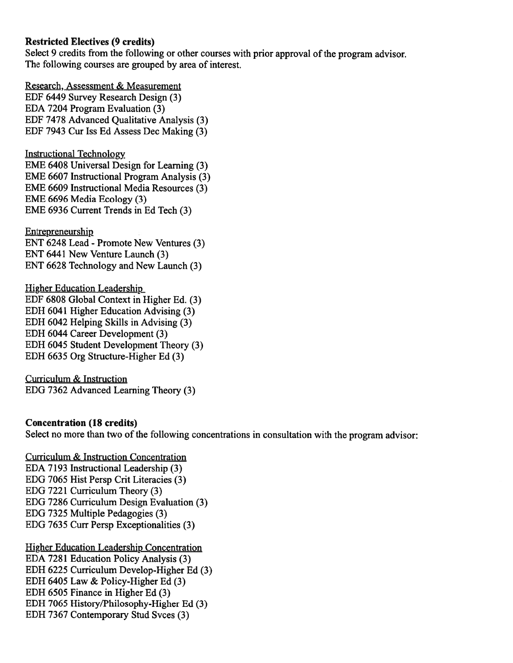#### **Restricted Electives (9 credits)**

Select 9 credits from the following or other courses with prior approval of the program advisor. The following courses are grouped by area of interest.

Research, Assessment & Measurement EDF 6449 Survey Research Design (3) EDA 7204 Program Evaluation (3) EDF 7478 Advanced Qualitative Analysis (3) EDF 7943 Cur Iss Ed Assess Dec Making (3)

**Instructional Technology** EME 6408 Universal Design for Learning (3) **EME 6607 Instructional Program Analysis (3)** EME 6609 Instructional Media Resources (3) EME 6696 Media Ecology (3) EME 6936 Current Trends in Ed Tech (3)

Entrepreneurship ENT 6248 Lead - Promote New Ventures (3) ENT 6441 New Venture Launch (3) ENT 6628 Technology and New Launch (3)

**Higher Education Leadership** EDF 6808 Global Context in Higher Ed. (3) EDH 6041 Higher Education Advising (3) EDH 6042 Helping Skills in Advising (3) EDH 6044 Career Development (3) EDH 6045 Student Development Theory (3) EDH 6635 Org Structure-Higher Ed (3)

Curriculum & Instruction EDG 7362 Advanced Learning Theory (3)

### **Concentration (18 credits)**

Select no more than two of the following concentrations in consultation with the program advisor:

**Curriculum & Instruction Concentration** EDA 7193 Instructional Leadership (3) EDG 7065 Hist Persp Crit Literacies (3) EDG 7221 Curriculum Theory (3) EDG 7286 Curriculum Design Evaluation (3) EDG 7325 Multiple Pedagogies (3) EDG 7635 Curr Persp Exceptionalities (3)

**Higher Education Leadership Concentration** EDA 7281 Education Policy Analysis (3) EDH 6225 Curriculum Develop-Higher Ed (3) EDH 6405 Law & Policy-Higher Ed (3) EDH 6505 Finance in Higher Ed (3) EDH 7065 History/Philosophy-Higher Ed (3) EDH 7367 Contemporary Stud Svces (3)